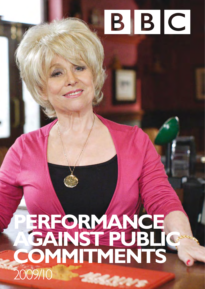# BBC

# **PERFORMANCE**  AGAINST PUBLIC<sup>®</sup> **COMMITMENTS**  2009/10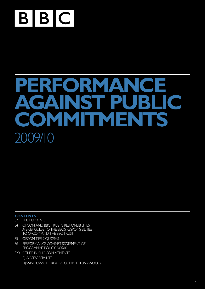

# **PERFORMANCE PUBLIC**<br>MENTS **COMMITMENT** 2009/10

#### **CONTENTS**

- S2 [BBC Purposes](#page-2-0)
- S4 OFCOM AND BBC TRUST'S RESPONSIBILITIES: [a brief guide to the BBC's responsibilities](#page-4-0) [to Ofcom and the BBC Trust](#page-4-0)
- S5 OFCOM TIER 2 QUOTAS
- [S6 Performance against Statement of](#page-6-0)  [Programme Policy 2009/10](#page-6-0)
- S20 OTHER PUBLIC COMMITMENTS (i) Access services [\(ii\)Window of Creative Competition \(WOCC\)](#page-21-0)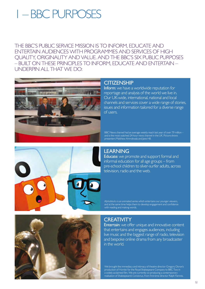## <span id="page-2-0"></span>1 – BBC Purposes

The BBC's public service mission is to inform, educate and entertain audiences with programmes and services of high quality, originality and value. And the BBC's six public purposes – built on these principles to inform, educate and entertain – underpin all that we do:



#### **CITIZENSHIP**

Inform: we have a worldwide reputation for reportage and analysis of the world we live in. Our UK-wide, international, national and local channels and services cover a wide range of stories, issues and information tailored for a diverse range of users.

BBC News channel had an average weekly reach last year of over 7.9 million – and is the most watched 24 hour news channel in the UK. Picture shows presenters Matthew Amroliwala and Jane Hill.

# **LEARNING**

Educate: we promote and support formal and informal education for all age groups – from pre-school children to silver-surfer adults, across television, radio and the web.

*Alphablocks* is an animated series which entertains our younger viewers, and at the same time helps them to develop engagement and confidence with reading and making words.



#### **CREATIVITY**

Entertain: we offer unique and innovative content that entertains and engages audiences, including live music and the biggest range of radio, television and bespoke online drama from any broadcaster in the world.

We brought the immediacy and intimacy of theatre director Gregory Doran's production of *Hamlet* for the Royal Shakespeare Company to BBC Two in a widely acclaimed film. We are currently co-producing a contemporary realisation of Shakespeare's *Coriolanus*, from first-time director Ralph Fiennes.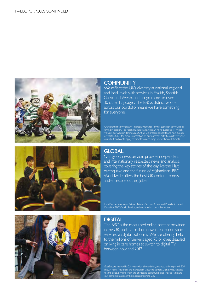

#### **COMMUNITY**

We reflect the UK's diversity at national, regional and local levels with services in English, Scottish Gaelic and Welsh, and programmes in over 30 other languages. The BBC's distinctive offer across our portfolio means we have something for everyone.

Our sporting commentary – especially football – brings together communities united in passion. *The Football League Show*, shown here, averaged 1.1 million viewers per week in its first year. Off-air, we present concerts and host events across the UK – for more information on our outreach activities visit www.bbc. co.uk/outreach or to apply for tickets to recordings www.bbc.co.uk/tickets.



#### **GLOBAL**

Our global news services provide independent and internationally respected news and analysis, covering the key stories of the day like the Haiti earthquake and the future of Afghanistan. BBC Worldwide offers the best UK content to new audiences across the globe.

Lyse Doucet interviews Prime Minister Gordon Brown and President Hamid Karzai for BBC World Service, and reported on our other outlets.



#### **DIGITAL**

The BBC is the most used online content provider in the UK, and 12.1 million now listen to our radio services via digital platforms. We are offering help to the millions of viewers aged 75 or over, disabled or living in care homes to switch to digital TV between now and 2012.

*EastEnders* marked its 25th year with a live edition, and new online spin-off *E20*, shown here. Audiences are increasingly watching content via new devices and technologies, bringing fresh challenges and opportunities as we seek to make our content available in the most appropriate way.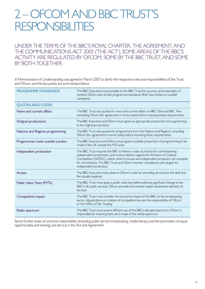### <span id="page-4-0"></span>2 – Ofcom and BBC Trust's **RESPONSIBILITIES**

Under the terms of the BBC's Royal Charter, the Agreement, and the Communications Act 2003 ('the Act'), some areas of the BBC's activity are regulated by Ofcom, some by the BBC Trust, and some by both together.

A Memorandum of Understanding was agreed in March 2007 to clarify the respective roles and responsibilities of the Trust and Ofcom, and the key points are summarised below:

| <b>PROGRAMME STANDARDS</b>      | The BBC Executive is accountable to the BBC Trust for accuracy and impartiality of<br>content; Ofcom sets certain programme standards. Both have duties to consider<br>complaints.                                                                                                                                                                          |
|---------------------------------|-------------------------------------------------------------------------------------------------------------------------------------------------------------------------------------------------------------------------------------------------------------------------------------------------------------------------------------------------------------|
| <b>QUOTAS AND CODES</b>         |                                                                                                                                                                                                                                                                                                                                                             |
| News and current affairs        | The BBC Trust sets quotas for news and current affairs on BBC One and BBC Two,<br>consulting Ofcom (for agreement in some cases) before imposing these requirements.                                                                                                                                                                                        |
| Original productions            | The BBC Executive and Ofcom must agree an appropriate proportion of programming<br>to be original productions.                                                                                                                                                                                                                                              |
| Nations and Regions programming | The BBC Trust sets quotas for programmes from the Nations and Regions, consulting<br>Ofcom (for agreement in some cases) before imposing these requirements.                                                                                                                                                                                                |
| Programmes made outside London  | The BBC Executive and Ofcom must agree a suitable proportion of programming to be<br>made in the UK outside the M25 area.                                                                                                                                                                                                                                   |
| Independent production          | The BBC Trust requires the BBC to follow a code of practice for commissioning<br>independent productions, and reviews delivery against the Window of Creative<br>Competition (WOCC), within which in-house and independent producers can compete<br>for commissions. The BBC Trust and Ofcom monitor compliance with targets for<br>independent production. |
| <b>Access</b>                   | The BBC Executive must observe Ofcom's code for providing services for the deaf and<br>the visually impaired.                                                                                                                                                                                                                                               |
| Public Value Tests (PVTs)       | The BBC Trust must apply a public value test before allowing significant change to the<br>BBC's UK public services. Ofcom provides the market impact assessment element of<br>the test.                                                                                                                                                                     |
| Competitive impact              | The BBC Trust must consider the economic impact of the BBC on the broadcasting<br>sector. Adjudications on matters of competition law are the responsibility of Ofcom<br>or the Office of Fair Trading.                                                                                                                                                     |
| Radio spectrum                  | The BBC Trust must ensure efficient use of the BBC's allocated spectrum; Ofcom is<br>responsible for ensuring best use is made of the whole spectrum.                                                                                                                                                                                                       |

Some further areas of common responsibility (including public service broadcasting, media literacy and the promotion of equal opportunities and training) are set out in the Act and Agreement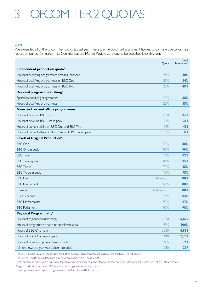# <span id="page-5-0"></span>3 – Ofcom Tier 2 quotas

#### 2009

We exceeded all of the Ofcom Tier 2 Quotas last year. These are the BBC's self assessment figures. Ofcom are due to formally report on our performance in its Communications Market Review 2010 due to be published later this year.

|                                                         | Quota      | 2009<br>Achievement |
|---------------------------------------------------------|------------|---------------------|
| Independent production quota <sup>1</sup>               |            |                     |
| Hours of qualifying programmes across all channels      | 25%        | 40%                 |
| Hours of qualifying programmes on BBC One               | 25%        | 34%                 |
| Hours of qualifying programmes on BBC Two               | 25%        | 49%                 |
| Regional programme making <sup>2</sup>                  |            |                     |
| Spend on qualifying programmes                          | 30%        | 38%                 |
| Hours of qualifying programmes                          | 25%        | 35%                 |
| News and current affairs programmes <sup>3</sup>        |            |                     |
| Hours of news on BBC One                                | 1380       | 1602                |
| Hours of news on BBC One in peak                        | 275        | 277                 |
| Hours of current affairs on BBC One and BBC Two         | 365        | 493                 |
| Hours of current affairs on BBC One and BBC Two in peak | 105        | $\overline{113}$    |
| Levels of Original Production <sup>4</sup>              |            |                     |
| <b>BBC</b> One                                          | 70%        | 88%                 |
| <b>BBC</b> One in peak                                  | 90%        | 99%                 |
| <b>BBC Two</b>                                          | 70%        | 82%                 |
| <b>BBC</b> Two in peak                                  | 80%        | 95%                 |
| <b>BBC</b> Three                                        | 70%        | 85%                 |
| <b>BBC</b> Three in peak                                | 70%        | 75%                 |
| <b>BBC</b> Four                                         | 70% approx | 80%                 |
| <b>BBC</b> Four in peak                                 | 50%        | 80%                 |
| <b>CBeebies</b>                                         | 80% approx | 80%                 |
| CBBC channel                                            | 70%        | 84%                 |
| <b>BBC News channel</b>                                 | 90%        | 97%                 |
| <b>BBC</b> Parliament                                   | 90%        | 98%                 |
| Regional Programming <sup>5</sup>                       |            |                     |
| Hours of regional programming                           | 6,270      | 6,895               |
| Hours of programmes made in the relevant area           | 95%        | 100%                |
| Hours of BBC One news                                   | 3,920      | 4,855               |
| Hours of BBC One news in peak                           | 2,010      | 2,259               |
| Hours of non-news programming in peak                   | 655        | 763                 |
| All non-news programmes adjacent to peak                | 280        | 337                 |

<sup>1</sup> The BBC is subject to a 25% independent production quota across all channels, and on BBC One and BBC Two individually.

 $^2$  The BBC has used Ofcom's definitions of regional production from 1 January 2006.

 $^3$  These quotas and performance figures are for network programming only. The News quota specifically excludes overnight transmissions of BBC News channel.

<sup>&</sup>lt;sup>4</sup> Original productions include all BBC commissioned programmes including repeats.

<sup>&</sup>lt;sup>5</sup> These figures represent regional programmes across BBC One and BBC Two.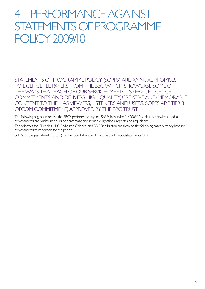### <span id="page-6-0"></span>4 – Performance against Statements of Programme Policy 2009/10

STATEMENTS OF PROGRAMME POLICY (SOPPS) ARE ANNUAL PROMISES to licence fee payers from the BBC which showcase some of the ways that each of our services meets its service licence commitments and delivers high quality, creative and memorable CONTENT TO THEM AS VIEWERS, LISTENERS AND USERS. SOPPS ARE TIER 3 Ofcom commitment, approved by the BBC Trust.

The following pages summarise the BBC's performance against SoPPs by service for 2009/10. Unless otherwise stated, all commitments are minimum hours or percentage and include originations, repeats and acquisitions.

The priorities for CBeebies, BBC Radio nan Gàidheal and BBC Red Button are given on the following pages but they have no commitments to report on for the period.

SoPPs for the year ahead (2010/11) can be found at [www.bbc.co.uk/aboutthebbc/statements2010](http://www.bbc.co.uk/aboutthebbc/statements2010)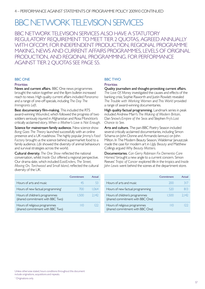### BBC Network Television services

BBC NETWORK TELEVISION SERVICES ALSO HAVE A STATUTORY regulatory requirement to meet Tier 2 quotas, agreed annually with Ofcom, for independent production, regional programme making, news and current affairs programmes, levels of original production, and regional programming. For performance against Tier 2 quotas see page S5.

#### **BBC ONE**

#### **Priorities**

News and current affairs. BBC One news programmes brought the nation together and the 8pm bulletin increased reach to news. High quality current affairs included *Panorama* and a range of one-off specials, including *The Day The Immigrants Left*.

Best documentary film-making. This included the RTS award-winning *Wounded*, which followed the progress of two soldiers seriously injured in Afghanistan and Rosa Monckton's critically acclaimed story, *When a Mother's Love is Not Enough*.

Science for mainstream family audience. New science show *Bang Goes The Theory* launched successfully with an online presence and a UK roadshow. The highly popular *Jimmy's Food Factory* brought us the science behind supermarket food to a family audience. *Life* showed the diversity of animal behaviours and survival strategies across the world.

Cultural diversity. *The One Show* reflected the national conversation, whilst *Inside Out* offered a regional perspective. Our drama slate, which included *EastEnders*, *The Street, Moving On, Torchwood* and *Small Island*, reflected the cultural diversity of the UK.

|                                                                    | Commitment | Actual |
|--------------------------------------------------------------------|------------|--------|
| Hours of arts and music                                            | 45         | 53     |
| Hours of new factual programming                                   | 700        | 1.064  |
| Hours of children's programmes<br>(shared commitment with BBC Two) | 1.500      | 2.142  |
| Hours of religious programmes<br>(shared commitment with BBC Two)  |            |        |

#### BBC Two

#### **Priorities**

Quality journalism and thought-provoking current affairs.

*The Love Of Money* investigated the causes and effects of the banking crisis; Sophie Raworth and Justin Rowlatt revealed *The Trouble with Working Women* and *This World* provided a range of award-winning documentaries.

High quality factual programming. Landmark series in peak included Andrew Marr's *The Making of Modern Britain*, Dan Snow's *Empire of the Seas* and Stephen Fry's *Last Chance to See*.

Arts and culture. The pan-BBC Poetry Season included several critically acclaimed documentaries, including Simon Schama on John Donne and Armando Iannucci on John Milton. In The Modern Beauty Season, Waldemar Januszczak made the case for modern art in *Ugly Beauty* and Matthew Collings argued *Why Beauty Matters*.

Documentaries. *Can Gerry Robinson Fix Dementia Care Homes?* brought a new angle to a current concern. Simon Reeves' *Tropic of Cancer* explored life in the tropics and *Inside John Lewis* went behind the scenes at the department store.

|                                                                    | Commitment | Actual |
|--------------------------------------------------------------------|------------|--------|
| Hours of arts and music                                            | 200        | 317    |
| Hours of new factual programming                                   | 520        | 813    |
| Hours of children's programmes<br>(shared commitment with BBC One) | 1.500      | 2.142  |
| Hours of religious programmes<br>(shared commitment with BBC One)  |            |        |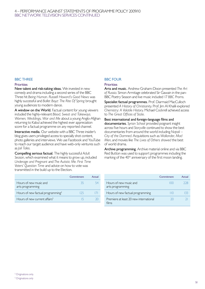#### 4 – Performance against Statements of Programme Policy 2009/10 BBC Network Television services continued

#### **BBC THREE**

#### **Priorities**

New talent and risk-taking ideas. We invested in new comedy and drama including a second series of the BBC Three hit *Being Human. Russell Howard's Good News* was highly successful and *Ballet Boyz: The Rite Of Spring* brought young audiences to modern dance.

A window on the World. Factual content for young viewers included the highly-relevant *Blood, Sweat and Takeways. Women, Weddings, War and Me* about a young Anglo-Afghan returning to Kabul achieved the highest ever appreciation score for a factual programme on any reported channel.

Interactive media. Our website with a BBC Three insider's blog gives users privileged access to specially shot content, photo galleries and interviews. We use Facebook and YouTube to reach our target audience and have web-only ventures such as *Jail Tales*.

Compelling serious factual. The highly successful *Adult Season*, which examined what it means to grow up, included *Underage and Pregnant* and *The Autistic Me. First Time Voters' Question Time* and advice on how to vote was transmitted in the build up to the Election.

|                                               | Commitment | Actual |
|-----------------------------------------------|------------|--------|
| Hours of new music and<br>arts programming    | 35         |        |
| Hours of new factual programming <sup>2</sup> | 125        |        |
| Hours of new current affairs <sup>3</sup>     |            |        |

#### **BBC FOUR**

#### **Priorities**

Arts and music. Andrew Graham-Dixon presented *The Art* of Russia. Simon Armitage celebrated Sir Gawain in the pan-BBC Poetry Season and live music included 17 *BBC Proms*.

Specialist factual programmes. Prof. Diarmaid MacCulloch presented A History of Christianity. Prof. Jim Al Khalili explored *Chemistry: A Volatile History*. michael Cockrell achieved access to *The Great Offices of State*.

best international and foreign-language films and documentaries. *Syrian School* provided poignant insight across five hours and *Storyville* continued to show the best documentaries from around the world including *Napoli – City of the Damned. Acquisitions such as Wallander, Mad Men*, and movies like *The Lives of Others showed* the best of world drama.

Archive programming. Archive material online and via BBC Red Button was used to support programmes including the marking of the 40<sup>th</sup> anniversary of the first moon landing.

|                                                 | Commitment    | Actual |
|-------------------------------------------------|---------------|--------|
| Hours of new music and<br>arts programming      | ( )           | 228    |
| Hours of new factual programming                | $\Box$ $\Box$ |        |
| Premiere at least 20 new international<br>films | 20            |        |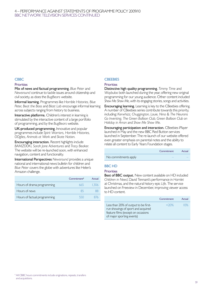#### 4 – Performance against Statements of Programme Policy 2009/10 BBC Network Television services continued

#### **CBBC**

#### **Priorities**

Mix of news and factual programming. *Blue Peter* and *Newsround* continue to tackle issues around citizenship and civil society, as does the *BugBears* website.

Informal learning. Programmes like *Horrible Histories, Blue Peter, Beat the Boss* and *Blast Lab* encourage informal learning across subjects ranging from history to business.

Interactive platforms. Children's interest in learning is stimulated by the interactive content of a large portfolio of programming, and by the *BugBears* website.

UK-produced programming. Innovative and popular programmes include *Spirit Warriors, Horrible Histories, OOglies, Animals at Work* and *Skate Nation*.

Encouraging interaction. Recent highlights include *BAMZOOKi, Sarah Jane Adventures* and *Tracy Beaker*. The website will be re-launched soon, with enhanced navigation, content and functionality.

International Perspectives *Newsround* provides a unique national and international news bulletin for children and *Blue Peter* covers the globe with adventures like Helen's Amazon challenge.

|                              | Commitment <sup>4</sup> | Actual |
|------------------------------|-------------------------|--------|
| Hours of drama programming   | 665                     | 1.306  |
| Hours of news                | 85                      |        |
| Hours of factual programming | 550                     | 876    |

#### **CBEEBIES**

#### **Priorities**

Distinctive high quality programming. *Timmy Time* and *Waybuloo* both launched during the year, offering new original programming for our young audience. Other content included *Show Me Show Me*, with its engaging stories, songs and activities.

Encouraging learning. Learning is key to the CBeebies offering. A number of CBeebies series contribute towards this priority, including: *Kerwhizz, Chuggington, Louie, Nina & The Neurons Go Inventing, The Green Balloon Club, Green Balloon Club on Holiday in Arran* and *Show Me Show Me*.

Encouraging participation and interaction. CBeebies iPlayer launched in May and the new BBC Red Button services launched in September. The re-launch of our website offered even greater emphasis on parental notes and the ability to relate all content to Early Years Foundation stages.

|                      | Commitment | Actual |
|----------------------|------------|--------|
| No commitments apply |            |        |

#### BBC HD

#### **Priorities**

Best of BBC output. New content available on HD included *Children in Need*, David Tennant's performance in *Hamlet* at Christmas, and the natural history epic *Life*. The service launched on Freeview in December, improving viewer access to HD content.

|                                                                                                                                               | Commitment | Actual |
|-----------------------------------------------------------------------------------------------------------------------------------------------|------------|--------|
| Less than 20% of output to be first-<br>run showings of sport and acquired<br>feature films (except on occasions<br>of major sporting events) | $<$ 20%    | $10\%$ |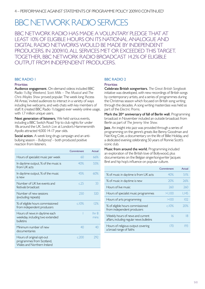### BBC NETWORK RADIO SERVICES

BBC Network Radio has made a voluntary pledge that at least 10% of eligible hours on its national analogue and digital radio networks would be made by independent producers. In 2009/10, all services met or exceeded this target. together, bbc network radio broadcast 14.2% of eligible output from independent producers.

#### BBC Radio 1

#### **Priorities**

Audience engagement. On-demand videos included BBC Radio 1's *Big Weekend, Scott Mills – The Musical* and *The Chris Moyles Show* proved popular. The week long 'Access All Areas,' invited audiences to interact in a variety of ways including live webcams, and web chats with key members of staff. It created BBC Radio 1's biggest ever weekly online usage, with 1.7 million unique users.

Next generation of listeners. We held various events, including a BBC Switch Road Trip to club nights for under 18s around the UK. *Switch Live* at London's Hammersmith Apollo attracted 4,000 14-17 year olds.

Social action. A week long drugs campaign and an antibullying season – *Bullyproof* – both produced positive reaction from listeners.

|                                                                                      | Commitment | Actual                   |
|--------------------------------------------------------------------------------------|------------|--------------------------|
| Hours of specialist music per week                                                   | 60         | 66%                      |
| In daytime output, % of the music is<br>from UK acts                                 | 40%        | 55%                      |
| In daytime output, % of the music<br><b>IS new</b>                                   | 45%        | 60%                      |
| Number of UK live events and<br>festivals broadcast                                  | c.25       | 33                       |
| Number of new sessions<br>(excluding repeats)                                        | 250        | 320                      |
| % of eligible hours commissioned<br>from independent producers                       | c.10%      | 12%                      |
| Hours of news in daytime each<br>weekday, including two extended<br><b>bulletins</b> |            | Ihr <sub>8</sub><br>mins |
| Minimum number of new<br>documentaries                                               | 40         | 40                       |
| Hours of original opt-out<br>programmes from Scotland,<br>Wales and Northern Ireland | c,200      | 292                      |

#### BBC Radio 2

#### **Priorities**

Celebrate British songwriters. *The Great British Songbook*  initiative was developed, with new recordings of British songs by contemporary artists, and a series of programmes during the Christmas season which focused on British song writing through the decades. A song writing masterclass was held as part of the *Electric Proms*.

Mark the 20<sup>th</sup> anniversary of fall of Berlin wall. Programming broadcast in November included an outside broadcast from Berlin as part of *The Jeremy Vine Show*.

Jazz. An insight into jazz was provided through a series of programming on the genre's greats like Benny Goodman and Nat King Cole, a documentary on the life of Billie Holiday, and a dedicated evening celebrating 50 years of Ronnie Scott's iconic club.

Music from around the world. Programming included an exploration of the British love of Bollywood, plus documentaries on the Belgian singer/songwriter Jacques Brel and hip hop's influence on popular culture.

|                                                                               | Commitment | Actual |
|-------------------------------------------------------------------------------|------------|--------|
| % of music in daytime is from UK acts                                         | 40%        | 51%    |
| % of music in daytime is new                                                  | 20%        | 76%    |
| Hours of live music                                                           | 260        | 260    |
| Hours of specialist music programmes                                          | >1.100     | 1,145  |
| Hours of arts programming                                                     | >100       | 102    |
| % of eligible hours commissioned<br>from independent producers                | c.10%      | 20%    |
| Weekly hours of news and current<br>affairs, including regular news bulletins | 16         | 18     |
| Hours of religious output covering<br>a broad range of faiths                 | 170        | 193    |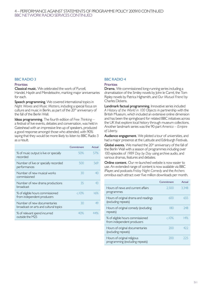#### 4 – Performance against Statements of Programme Policy 2009/10 continued BBC Network radio services continued

#### BBC Radio 3

#### **Priorities**

Classical music. We celebrated the work of Purcell, Handel, Haydn and Mendelssohn, marking major anniversaries for each.

Speech programming. We covered international topics in *Night Waves* and *Music Matters*, including a special focus on culture and music in Berlin, as part of the 20<sup>th</sup> anniversary of the fall of the Berlin Wall.

Ideas programming. The fourth edition of *Free Thinking* – a festival of live events, debates and conversation, was held in Gateshead with an impressive line-up of speakers, produced a good response amongst those who attended, with 90% saying that they would be more likely to listen to BBC Radio 3 as a result.

|                                                                      | Commitment | Actual |
|----------------------------------------------------------------------|------------|--------|
| % of music output is live or specially<br>recorded                   | 50%        | 57%    |
| Number of live or specially recorded<br>performances                 | 500        | 569    |
| Number of new musical works<br>commissioned                          | 30         | 40     |
| Number of new drama productions<br>broadcast                         | 35         | 43     |
| % of eligible hours commissioned<br>from independent producers       | c.10%      | 16%    |
| Number of new documentaries<br>broadcast on arts and cultural topics | 30         | 49     |
| % of relevant spend incurred<br>outside the M25                      | 40%        | 44%    |

#### BBC Radio 4

#### **Priorities**

Drama. We commissioned long-running series including a dramatisation of the Smiley novels by John le Carré, the Tom Ripley novels by Patrica Highsmith, and *Our Mutual Friend* by Charles Dickens.

Landmark factual programming. Innovative series included *A History of the World in 100 Objects* in partnership with the British Museum, which included an extensive online dimension and has been the springboard for related BBC initiatives across the UK that explore local history through museum collections. Another landmark series was the 90-part *America – Empire of Liberty*.

Audience engagement. We piloted a tour of universities, and had a major presence at the Latitude and Edinburgh Festivals.

Global events. We marked the 20<sup>th</sup> anniversary of the fall of the Berlin Wall with a season of programmes including over 100 episodes of *1989 Day by Day* using archive audio, and various dramas, features and debates.

Online content. Our re-launched website is now easier to use. An extended range of content is now available via BBC iPlayer, and podcasts *Friday Night Comedy* and the *Archers* omnibus each attract over five million downloads per month.

|                                                                | Commitment | Actual |
|----------------------------------------------------------------|------------|--------|
| Hours of news and current affairs<br>programmes                | 2,500      | 3.348  |
| Hours of original drama and readings<br>(excluding repeats)    | 600        | 655    |
| Hours of original comedy (excluding<br>repeats)                | 180        | 248    |
| % of eligible hours commissioned<br>from independent producers | c.10%      | 14%    |
| Hours of original documentaries<br>(excluding repeats)         | 200        | 477    |
| Hours of original religious<br>programming (excluding repeats) | 200        | ノノト    |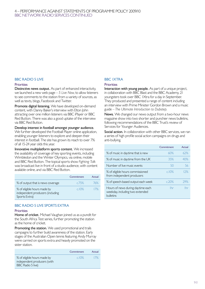#### 4 – Performance against Statements of Programme Policy 2009/10 BBC NETWORK RADIO SERVICES continued

#### BBC Radio 5 live

#### **Priorities**

Distinctive news output. As part of enhanced interactivity, we launched a new web page – *5 Live Now*, to allow listeners to see comments to the station from a variety of sources, as well as texts, blogs, Facebook and Twitter.

Promote digital listening. We have developed on-demand content, with Danny Baker's interview with Elton John attracting over one million listeners via BBC iPlayer or BBC Red Button. There was also a good uptake of the interview via BBC Red Button.

Develop interest in football amongst younger audience. We further developed the Football Player online application, enabling younger listeners to explore and deepen their interest in football. The site has grown its reach to over 7% of all 15-24 year olds this year.

Innovative multiplatform sports content. We increased the availability of coverage of key sporting events, including Wimbledon and the Winter Olympics, via online, mobile and BBC Red Button. The topical sports show *Fighting Talk*  was broadcast live in front of a studio audience, with content available online, and via BBC Red Button.

|                                                                                  | Commitment | Actual |
|----------------------------------------------------------------------------------|------------|--------|
| % of output that is news coverage                                                | c.75%      | 76%    |
| % of eligible hours made by<br>independent producers (including<br>Sports Extra) | c.10%      | 17%    |

#### BBC Radio 5 live sports extra

#### **Priorities**

Home of cricket. Michael Vaughan joined us as a pundit for the South Africa Test series, further promoting the station as the home of cricket.

Promoting the station. We used promotional and trails campaigns to further build awareness of the station. Early stages of the Australian Open tennis featuring Andy Murray were carried on sports extra and heavily promoted on the sister station.

|                                                                                        | Commitment | Actual |
|----------------------------------------------------------------------------------------|------------|--------|
| % of eligible hours made by<br>independent producers (with<br><b>BBC</b> Radio 5 live) | c.10%      | 17%    |

#### **BBC IXTRA**

#### **Priorities**

Interaction with young people. As part of a unique project, in collaboration with BBC Blast and the BBC Academy, 21 youngsters took over BBC 1Xtra for a day in September. They produced and presented a range of content including an interview with Prime Minister Gordon Brown and a music guide – *The Ultimate Introduction to Dubstep*.

News. We changed our news output from a two-hour news magazine show into two shorter and punchier news bulletins, following recommendations of the BBC Trust's review of Services for Younger Audiences.

Social action. In collaboration with other BBC services, we ran a series of high profile social action campaigns on drugs and anti-bullying.

|                                                                                   | Commitment | Actual |
|-----------------------------------------------------------------------------------|------------|--------|
| % of music in daytime that is new                                                 | 60%        | 62%    |
| % of music in daytime from the UK                                                 | 35%        | 40%    |
| Number of live music events                                                       | 50         | 56     |
| % of eligible hours commissioned<br>from independent producers                    | c.10%      | 12%    |
| % of speech-based output each week                                                | c.20%      | 29%    |
| Hours of news during daytime each<br>weekday, including two extended<br>bulletins | <b>Ihr</b> | Ihr    |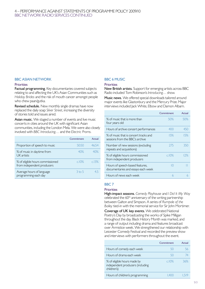#### 4 – Performance against Statements of Programme Policy 2009/10 BBC NETWORK RADIO SERVICES continued

#### BBC Asian Network

#### **Priorities**

Factual programming. Key documentaries covered subjects relating to and affecting the UK's Asian Communities such as *Holiday Brides* and the risk of mouth cancer amongst people who chew paan/gutka.

Revised schedule. New monthly single dramas have now replaced the daily soap *Silver Street*, increasing the diversity of stories told and issues aired.

Asian music. We staged a number of events and live music concerts in cities around the UK with significant Asian communities, including the London Mela. We were also closely involved with *BBC Introducing…* and the *Electric Proms*.

|                                                                | Commitment | Actual |
|----------------------------------------------------------------|------------|--------|
| Proportion of speech to music                                  | 50:50      | 46.54  |
| % of music in daytime from<br>UK artists                       | 40%        | 40%    |
| % of eligible hours commissioned<br>from independent producers | c.10%      | c.13%  |
| Average hours of language<br>programming each day              | $3$ to 5   | 45     |

#### BBC 6 Music

#### **Priorities**

New British artists. Support for emerging artists across BBC Radio included Tom Robinson's *Introducing*… show.

Music news. We offered special downloads tailored around major events like Glastonbury and the Mercury Prize. Major interviews included Jack White, Elbow and Damon Albarn.

|                                                                          | Commitment | Actual |
|--------------------------------------------------------------------------|------------|--------|
| % of music that is more than<br>four years old                           | 50%        | 50%    |
| Hours of archive concert performances                                    | 400        | 450    |
| % of music that is concert tracks and<br>sessions from the BBC's archive | 15%        | 15%    |
| Number of new sessions (excluding<br>repeats and acquisitions)           | 275        | 350    |
| % of eligible hours commissioned<br>from independent producers           | c.10%      | 12%    |
| Hours of speech-based features,<br>documentaries and essays each week    | IΩ         |        |
| Hours of news each week                                                  | 6          |        |

#### BBC 7

#### **Priorities**

High-impact seasons. *Comedy Playhouse* and *I Did It My Way*  celebrated the 60th anniversary of the writing partnership between Galton and Simpson. A series of *Rumpole of the Bailey* tied-in with the memorial service for Sir John Mortimer.

Coverage of UK key events. We celebrated National Poetry's Day by broadcasting the works of Spike Milligan throughout the day. Black History Month was marked, and a range of output including drama and features broadcast over Armistice week. We strengthened our relationship with Leicester Comedy Festival and recorded the preview show and interviews with performers throughout the event.

|                                                                                | Commitment | Actual |
|--------------------------------------------------------------------------------|------------|--------|
| Hours of comedy each week                                                      | 50         | 56     |
| Hours of drama each week                                                       | 50         | 74     |
| % of eligible hours made by<br>independent producers (including<br>children's) | c.10%      | 36%    |
| Hours of children's programming                                                |            |        |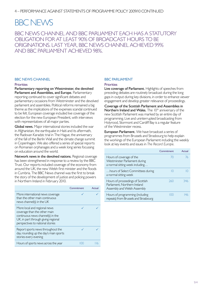### BBC News

BBC News channel and BBC Parliament each has a statutory obligation for at least 90% of broadcast hours to be originations. Last year, BBC News channel achieved 99% and BBC Parliament achieved 98%.

#### **BBC NEWS CHANNEL**

#### **Priorities**

Parliamentary reporting on Westminster, the devolved Parliament and Assemblies, and Europe. Parliamentary reporting continued to cover significant debates and parliamentary occasions from Westminster and the devolved parliament and assemblies. Political reforms remained a big theme as the implications of the expenses scandal continued to be felt. European coverage included live coverage of the election for the new European President, with interviews with representatives of all major parties.

Global news. Major international stories included the war in Afghanistan, the earthquake in Haiti and its aftermath, the Radovan Karadzic trial in The Hague, the anniversary of the fall of the Berlin Wall and the climate change summit in Copenhagen. We also offered a series of special reports on Romanian orphanages and a week long series focussing on education around the world.

Network news in the devolved nations. Regional coverage has been strengthened in response to a review by the BBC Trust. Our reports included coverage of the economy from around the UK, the new Welsh first minister and the floods in Cumbria. The BBC News channel was the first to break the story of the development of justice and policing powers in Northern Ireland in February 2010.

|                                                                                                                                                                              | Commitment | Actual |
|------------------------------------------------------------------------------------------------------------------------------------------------------------------------------|------------|--------|
| More international news coverage<br>than the other main continuous<br>news channel(s) in the $UK$                                                                            |            |        |
| More local and regional news<br>coverage than the other main<br>continuous news channel(s) in the<br>UK, in part through giving regional<br>perspectives to national stories |            |        |
| Report sports news throughout the<br>day, rounding up the day's main sports<br>stories every evening                                                                         |            |        |
| Hours of sports news across the year                                                                                                                                         |            |        |

#### BBC Parliament

#### **Priorities**

Live coverage of Parliament. Highlights of speeches from preceding debates are routinely broadcast during the long gaps in output during key divisions, in order to enhance viewer engagement and develop greater relevance of proceedings.

Coverage of the Scottish Parliament and Assemblies in Northern Ireland and Wales. The 10<sup>th</sup> anniversary of the new Scottish Parliament was marked by an entire day of programming. Live and uninterrupted broadcasting from Holyrood, Stormont and Cardiff Bay is a regular feature of the Westminster recess.

European Parliament. We have broadcast a series of programmes from Brussels and Strasbourg to help explain the workings of the European Parliament including the weekly look at key events and issues in *The Record Europe*.

|                                                                                                 | Commitment | Actual |
|-------------------------------------------------------------------------------------------------|------------|--------|
| Hours of coverage of the<br>Westminster Parliament during<br>a normal sitting week including    | 70         | 76     |
| hours of Select Committees during<br>a normal sitting week                                      |            |        |
| Hours of proceedings of Scottish<br>Parliament, Northern Ireland<br>Assembly and Welsh Assembly | 260        | 346    |
| Hours of programming (including<br>repeats) from Brussels and Strasbourg                        | ( )()      |        |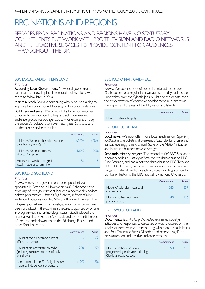### BBC Nations and Regions

SERVICES FROM BBC NATIONS AND REGIONS HAVE NO STATUTORY commitments but work with BBC television and radio networks and interactive services to provide content for audiences throughout the UK.

#### BBC LOCAL RADIO IN ENGLAND

#### **Priorities**

Reporting Local Government. New local government reporters are now in place in ten local radio stations, with more to follow later in 2010.

Maintain reach. We are continuing with in-house training to improve the station sound, focusing on key priority stations.

Build new audiences. Multimedia links from our websites continue to be improved to help attract under-served audience groups like younger adults – for example, through the successful collaboration over *Facing the Cuts*, a strand on the public service recession.

|                                                           | Commitment | Actual |
|-----------------------------------------------------------|------------|--------|
| Minimum % speech-based content in<br>core hours (6am-6pm) | $60%+$     | 60%+   |
| Minimum % speech content<br>at breakfast peak             | $100\%$    | 100%   |
| Hours each week of original,<br>locally made programming  | 85         |        |

#### BBC Radio Scotland

#### **Priorities**

News. A new local government correspondent was appointed in Scotland in November 2009. Enhanced news coverage of local government included a new weekly political debate programme – *Brian's Big Debate*, in front of a live audience. Locations included West Lothian and Dunfermline.

Original journalism. Local investigative documentaries have been broadcast in the daytime schedule, supported by phonein programmes and online blogs. Issues raised included the financial viability of Scotland's festivals and the potential impact of the economic downturn on the Edinburgh Festival and other Scottish events.

|                                                                                        | Commitment | Actual |
|----------------------------------------------------------------------------------------|------------|--------|
| Hours of radio news and current<br>affairs each week                                   | 43         | 62     |
| Hours of arts coverage on radio<br>(including narrative repeats of daily<br>arts show) | 200        | 750    |
| Aim to commission % of eligible hours<br>made by independent producers                 | c10%       | .5%    |

#### BBC Radio nan Gàidheal

#### **Priorities**

News. We cover stories of particular interest to the core Gaelic audience at regular intervals across the day, such as the uncertainty over the Qinetic jobs in Uist and the debate over the concentration of economic development in Inverness at the expense of the rest of the Highlands and Islands.

|                      | Commitment | Actual |
|----------------------|------------|--------|
| No commitments apply |            |        |

#### BBC ONE SCOTLAND

#### **Priorities**

Local news. We now offer more local headlines on *Reporting Scotland*, more bulletins at weekends (Saturday lunchtime and Sunday evenings), a new annual 'State of the Nation' initiative and increased business news coverage.

Scotland's History project. The second half of BBC Scotland's landmark series *A History of Scotland* was broadcast on BBC One Scotland, and had a network broadcast on BBC Two and BBC HD. The two-year project has been supported by a full range of materials and outreach activities including a concert in Edinburgh featuring the BBC Scottish Symphony Orchestra.

|                                                 | Commitment | Actual |
|-------------------------------------------------|------------|--------|
| Hours of television news and<br>current affairs | 265        | 357    |
| Hours of other (non news)<br>programming        | 140        |        |

#### BBC TWO SCOTI AND

#### **Priorities**

Documentaries. *Walking Wounded* examined society's attitudes and responses to casualties of war. It focused on the stories of three war veterans battling with mental health issues and Post Traumatic Stress Disorder, and received significant press attention and positive audience response.

|                                                                                      | Commitment | Actual |
|--------------------------------------------------------------------------------------|------------|--------|
| Hours of other non news<br>programming each year including<br>Gaelic language output | 190        | 415    |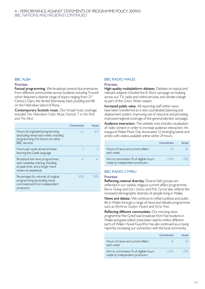#### 4 – Performance against Statements of Programme Policy 2009/10 BBC Nations and Regions continued

#### **BBC ALBA**

#### **Priorities**

Factual programming. We broadcast several documentaries from different communities across Scotland, including *Trusadh* which featured a diverse range of topics ranging from 21<sup>st</sup> Century Clans, the famed Stornaway black pudding and life on the Hebridean island of Rona.

Contemporary Scottish music. Our broad music coverage included *The Hebridean Celtic Music Festival, T in the Park*  and *The Mod*.

|                                                                                                                                     | Commitment      | Actual |
|-------------------------------------------------------------------------------------------------------------------------------------|-----------------|--------|
| Hours of originated programming<br>(excluding news) each week, including<br>programming first shown on other<br><b>BBC</b> services | $\mathsf{c}\,5$ | 69     |
| Hours per week aimed at those<br>learning the Gaelic language                                                                       |                 |        |
| Broadcast live news programmes<br>each weekday evening, including<br>at peak time, and a longer news<br>review at weekends          |                 |        |
| Percentage (by volume) of original<br>programming (excluding news)<br>commissioned from independent<br>producers                    | 50%             | 14%    |

#### **BBC RADIO WALES**

#### **Priorities**

High-quality multiplatform debates. Debates on topical and relevant subjects included the *B Word* campaign on bullying across our TV, radio and online services, and climate change as part of the *Green Wales* season.

Increased public value. All reporting staff within news have been transferred to a new coordinated planning and deployment system, improving use of resource and providing improved regional coverage of the general election campaign.

Audience interaction. The website now includes visualisation of radio content in order to increase audience interaction. An inaugural Wales Music Day showcased 12 emerging bands and artists with videos available online within 24 hours.

|                                                                        | Commitment | Actual |
|------------------------------------------------------------------------|------------|--------|
| Hours of news and current affairs<br>each week                         | 74         | 36     |
| Aim to commission % of eligible hours<br>made by independent producers | c10%       | 10%    |

#### BBC Radio Cymru

#### **Priorities**

Reflecting national diversity. Diverse faith groups are reflected in our weekly religious current affairs programmes *Bwrw Golwg* and *Dal i Gredu*, and *Post Cyntaf* also reflects the increased demographic diversity of people living in Wales.

News and debate. We continue to reflect political and public life in Wales through a range of news and debate programmes such as *Wythnos Gwilym OwenI* and *Tar'or Post*.

Reflecting different communities. Our morning news programme *Post Cyntaf* was broadcast from five locations in Wales and guest editors have been used to reflect different parts of Wales. Hywel Gwynfryn has also continued as a roving reporter, increasing our connection with the local community.

|                                                                        | Commitment      | Actual                     |
|------------------------------------------------------------------------|-----------------|----------------------------|
| Hours of news and current affairs<br>each week                         | $\overline{16}$ | $\mathcal{D}(\mathcal{A})$ |
| Aim to commission % of eligible hours<br>made by independent producers | c10%            | 10%                        |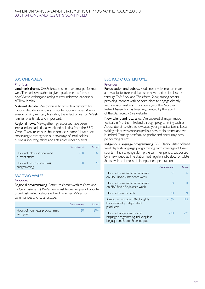#### 4 – Performance against Statements of Programme Policy 2009/10 BBC Nations and Regions continued

#### **BBC ONE WALES**

#### **Priorities**

Landmark drama. *Crash*, broadcast in peaktime, performed well. The series was able to give a peaktime platform to new Welsh writing and acting talent under the leadership of Tony lordan.

National debate. We continue to provide a platform for national debate around major contemporary issues. A mini season on Afghanistan, illustrating the effect of war on Welsh families, was timely and important.

Regional news. Newsgathering resources have been increased and additional weekend bulletins from the *BBC Wales Today* team have been broadcast since November, continuing to strengthen our coverage of local politics, business, industry, ethics and arts across linear outlets.

|                                                 | Commitment | Actual |
|-------------------------------------------------|------------|--------|
| Hours of television news and<br>current affairs | 250        | 337    |
| Hours of other (non-news)<br>programming        | 6()        |        |

#### **BBC TWO WAI FS**

#### **Priorities**

Regional programming. *Return to Pembrokeshire Farm* and *Hidden Histories of Wales* were just two examples of popular broadcasts which celebrated and reflected Wales, its communities and its landscape.

|                                            | Commitment | Actual |
|--------------------------------------------|------------|--------|
| Hours of non-news programming<br>each year | I6O        | 704    |

#### BBC Radio Ulster/Foyle

#### **Priorities**

Participation and debate. Audience involvement remains a powerful feature in debates on news and political issues through *Talk Back* and *The Nolan Show*, among others, providing listeners with opportunities to engage directly with decision makers. Our coverage of the Northern Ireland Assembly has been augmented by the launch of the *Democracy Live* website.

New talent and local arts. We covered all major music festivals in Northern Ireland through programming such as *Across the Line*, which showcased young musical talent. Local writing talent was encouraged in a new radio drama and we launched *Comedy Academy* to profile and encourage new performing talent.

Indigenous language programming. BBC Radio Ulster offered weekday Irish language programming, with coverage of Gaelic sports in Irish language during the summer period, supported by a new website. The station had regular radio slots for Ulster Scots, with an increase in independent production.

|                                                                                                          | Commitment | Actual |
|----------------------------------------------------------------------------------------------------------|------------|--------|
| Hours of news and current affairs<br>on BBC Radio Ulster each week                                       | 77         |        |
| Hours of news and current affairs<br>on BBC Radio Foyle each week                                        | 8          |        |
| Hours of new comedy                                                                                      | 20         |        |
| Aim to commission 10% of eligible<br>hours made by independent<br>producers                              | c10%       | 11%    |
| Hours of indigenous minority<br>language programming including Irish<br>language and Ulster Scots output | 220        | 796    |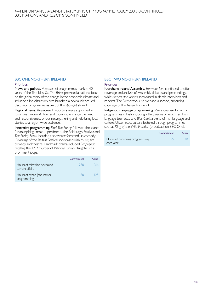#### 4 – Performance against Statements of Programme Policy 2009/10 continued BBC Nations and Regions continued

#### BBC ONE NORTHERN IRELAND

#### **Priorities**

News and politics. A season of programmes marked 40 years of the Troubles. *On The Brink* provided a national focus on the global story of the change in the economic climate and included a live discussion. We launched a new audience-led discussion programme as part of the *Spotlight* strand.

Regional news. Area-based reporters were appointed in Counties Tyrone, Antrim and Down to enhance the reach and responsiveness of our newsgathering and help bring local stories to a region-wide audience.

Innovative programming. *Find The Funny* followed the search for an aspiring comic to perform at the Edinburgh Festival; and *The Friday Show* included a showcase for stand-up comedy. Coverage of the Belfast Festival showcased Irish music, art, comedy and theatre. Landmark drama included *Scapegoat*, retelling the 1952 murder of Patricia Curran, daughter of a prominent judge.

|                                                 | Commitment | Actual |
|-------------------------------------------------|------------|--------|
| Hours of television news and<br>current affairs | 280        | 316    |
| Hours of other (non-news)<br>programming        | XU         | 125.   |

#### BBC TWO NORTHERN IRELAND

#### **Priorities**

Northern Ireland Assembly. *Stormont Live* continued to offer coverage and analysis of Assembly debates and proceedings, while *Hearts and Minds* showcased in-depth interviews and reports. The *Democracy Live* website launched, enhancing coverage of the Assembly's work.

Indigenous language programming. We showcased a mix of programmes in Irish, including a third series of *Seacht*, an Irish language teen soap and *Blas Ceoll*, a blend of Irish language and culture. Ulster Scots culture featured through programmes such as *King of the Wild Frontier* (broadcast on BBC One).

|                               | Commitment | Actual |
|-------------------------------|------------|--------|
| Hours of non-news programming |            |        |
| each year                     |            |        |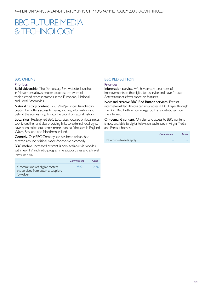### BBC FUTURE MEDIA & Technology

#### **BBC ONLINE**

#### **Priorities**

Build citizenship. The *Democracy Live* website, launched in November, allows people to access the work of their elected representatives in the European, National and Local Assemblies.

Natural history content. *BBC Wildlife Finder*, launched in September, offers access to news, archive, information and behind the scenes insights into the world of natural history.

Local sites. Redesigned BBC Local sites focused on local news, sport, weather and also providing links to external local sights have been rolled out across more than half the sites in England, Wales, Scotland and Northern Ireland.

Comedy. Our BBC Comedy site has been relaunched centred around original, made-for-the-web comedy.

**BBC mobile.** Increased content is now available via mobiles, with new TV and radio programme support sites and a travel news service.

|                                                                                         | Commitment | Actual |
|-----------------------------------------------------------------------------------------|------------|--------|
| % commissions of eligible content<br>and services from external suppliers<br>(by value) | $25%+$     | 26%    |

#### **BBC RED BUTTON**

#### **Priorities**

Information service. We have made a number of improvements to the digital text service and have focused *Entertainment News* more on features.

New and creative BBC Red Button services. Freesat internet-enabled devices can now access BBC iPlayer through the BBC Red Button homepage: both are distributed over the internet.

On-demand content. On-demand access to BBC content is now available to digital television audiences in Virgin Media and Freesat homes

|                      | Commitment | Actual |
|----------------------|------------|--------|
| No commitments apply |            |        |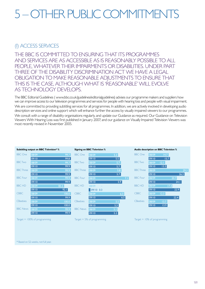# <span id="page-20-0"></span>5 – Other publiccommitments

#### (i) Access services

The BBC is committed to ensuring that its programmes and services are as accessible as is reasonably possible to all people, whatever their impairments or disabilities. Under Part Three of the Disability Discrimination Act we have a legal obligation to make reasonable adjustments to ensure that this is the case, although what is 'reasonable' will evolve AS TECHNOLOGY DEVELOPS.

The BBC Editorial Guidelines ( [www.bbc.co.uk/guidelines/editorialguidelines](http://www.bbc.co.uk/guidelines/editorialguidelines)) advises our programme makers and suppliers how we can improve access to our television programmes and services for people with hearing loss and people with visual impairment. We are committed to providing subtitling services for all programmes. In addition, we are actively involved in developing audio description services and online support which will enhance further the access by visually impaired viewers to our programmes. We consult with a range of disability organisations regularly, and update our Guidance as required. Our Guidance on Television Viewers With Hearing Loss was first published in January 2007; and our guidance on Visually Impaired Television Viewers was most recently revised in November 2005.